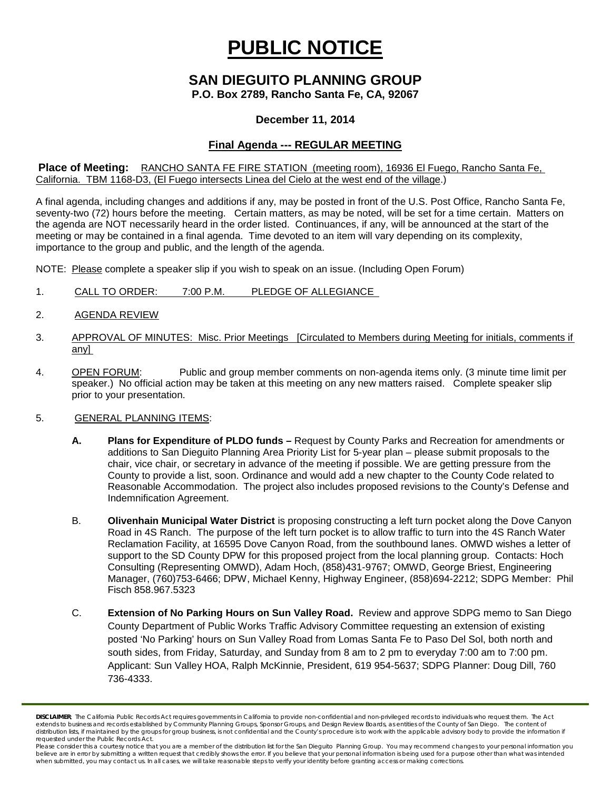# **PUBLIC NOTICE**

# **SAN DIEGUITO PLANNING GROUP**

**P.O. Box 2789, Rancho Santa Fe, CA, 92067**

### **December 11, 2014**

## **Final Agenda --- REGULAR MEETING**

#### **Place of Meeting:** RANCHO SANTA FE FIRE STATION (meeting room), 16936 El Fuego, Rancho Santa Fe, California. TBM 1168-D3, (El Fuego intersects Linea del Cielo at the west end of the village.)

A final agenda, including changes and additions if any, may be posted in front of the U.S. Post Office, Rancho Santa Fe, seventy-two (72) hours before the meeting. Certain matters, as may be noted, will be set for a time certain. Matters on the agenda are NOT necessarily heard in the order listed. Continuances, if any, will be announced at the start of the meeting or may be contained in a final agenda. Time devoted to an item will vary depending on its complexity, importance to the group and public, and the length of the agenda.

NOTE: Please complete a speaker slip if you wish to speak on an issue. (Including Open Forum)

- 1. CALL TO ORDER: 7:00 P.M. PLEDGE OF ALLEGIANCE
- 2. AGENDA REVIEW
- 3. APPROVAL OF MINUTES: Misc. Prior Meetings [Circulated to Members during Meeting for initials, comments if any]
- 4. OPEN FORUM: Public and group member comments on non-agenda items only. (3 minute time limit per speaker.) No official action may be taken at this meeting on any new matters raised. Complete speaker slip prior to your presentation.

#### 5. GENERAL PLANNING ITEMS:

- **A. Plans for Expenditure of PLDO funds –** Request by County Parks and Recreation for amendments or additions to San Dieguito Planning Area Priority List for 5-year plan – please submit proposals to the chair, vice chair, or secretary in advance of the meeting if possible. We are getting pressure from the County to provide a list, soon. Ordinance and would add a new chapter to the County Code related to Reasonable Accommodation. The project also includes proposed revisions to the County's Defense and Indemnification Agreement.
- B. **Olivenhain Municipal Water District** is proposing constructing a left turn pocket along the Dove Canyon Road in 4S Ranch. The purpose of the left turn pocket is to allow traffic to turn into the 4S Ranch Water Reclamation Facility, at 16595 Dove Canyon Road, from the southbound lanes. OMWD wishes a letter of support to the SD County DPW for this proposed project from the local planning group. Contacts: Hoch Consulting (Representing OMWD), Adam Hoch, (858)431-9767; OMWD, George Briest, Engineering Manager, (760)753-6466; DPW, Michael Kenny, Highway Engineer, (858)694-2212; SDPG Member: Phil Fisch 858.967.5323
- C. **Extension of No Parking Hours on Sun Valley Road.** Review and approve SDPG memo to San Diego County Department of Public Works Traffic Advisory Committee requesting an extension of existing posted 'No Parking' hours on Sun Valley Road from Lomas Santa Fe to Paso Del Sol, both north and south sides, from Friday, Saturday, and Sunday from 8 am to 2 pm to everyday 7:00 am to 7:00 pm. Applicant: Sun Valley HOA, Ralph McKinnie, President, 619 954-5637; SDPG Planner: Doug Dill, 760 736-4333.

*DISCLAIMER; The California Public Records Act requires governments in California to provide non-confidential and non-privileged records to individuals who request them. The Act*  extends to business and records established by Community Planning Groups, Sponsor Groups, and Design Review Boards, as entities of the County of San Diego. The content of distribution lists, if maintained by the groups for group business, is not confidential and the County's procedure is to work with the applicable advisory body to provide the information if *requested under the Public Records Act.*

Please consider this a courtesy notice that you are a member of the distribution list for the San Dieguito Planning Group. You may recommend changes to your personal information you believe are in error by submitting a written request that credibly shows the error. If you believe that your personal information is being used for a purpose other than what was intended<br>when submitted, you may contact us.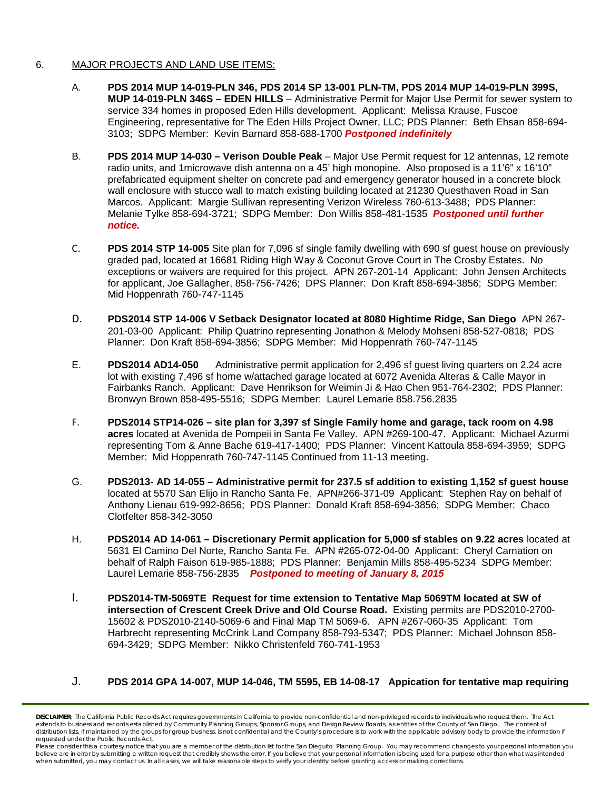#### 6. MAJOR PROJECTS AND LAND USE ITEMS:

- A. **PDS 2014 MUP 14-019-PLN 346, PDS 2014 SP 13-001 PLN-TM, PDS 2014 MUP 14-019-PLN 399S, MUP 14-019-PLN 346S – EDEN HILLS** – Administrative Permit for Major Use Permit for sewer system to service 334 homes in proposed Eden Hills development. Applicant: Melissa Krause, Fuscoe Engineering, representative for The Eden Hills Project Owner, LLC; PDS Planner: Beth Ehsan 858-694- 3103; SDPG Member: Kevin Barnard 858-688-1700 *Postponed indefinitely*
- B. **PDS 2014 MUP 14-030 – Verison Double Peak** Major Use Permit request for 12 antennas, 12 remote radio units, and 1 microwave dish antenna on a 45' high monopine. Also proposed is a 11'6" x 16'10" prefabricated equipment shelter on concrete pad and emergency generator housed in a concrete block wall enclosure with stucco wall to match existing building located at 21230 Questhaven Road in San Marcos. Applicant: Margie Sullivan representing Verizon Wireless 760-613-3488; PDS Planner: Melanie Tylke 858-694-3721; SDPG Member: Don Willis 858-481-1535 *Postponed until further notice.*
- C. **PDS 2014 STP 14-005** Site plan for 7,096 sf single family dwelling with 690 sf guest house on previously graded pad, located at 16681 Riding High Way & Coconut Grove Court in The Crosby Estates. No exceptions or waivers are required for this project. APN 267-201-14 Applicant: John Jensen Architects for applicant, Joe Gallagher, 858-756-7426; DPS Planner: Don Kraft 858-694-3856; SDPG Member: Mid Hoppenrath 760-747-1145
- D. **PDS2014 STP 14-006 V Setback Designator located at 8080 Hightime Ridge, San Diego** APN 267- 201-03-00 Applicant: Philip Quatrino representing Jonathon & Melody Mohseni 858-527-0818; PDS Planner: Don Kraft 858-694-3856; SDPG Member: Mid Hoppenrath 760-747-1145
- E. **PDS2014 AD14-050** Administrative permit application for 2,496 sf guest living quarters on 2.24 acre lot with existing 7,496 sf home w/attached garage located at 6072 Avenida Alteras & Calle Mayor in Fairbanks Ranch. Applicant: Dave Henrikson for Weimin Ji & Hao Chen 951-764-2302; PDS Planner: Bronwyn Brown 858-495-5516; SDPG Member: Laurel Lemarie 858.756.2835
- F. **PDS2014 STP14-026 – site plan for 3,397 sf Single Family home and garage, tack room on 4.98 acres** located at Avenida de Pompeii in Santa Fe Valley. APN #269-100-47. Applicant: Michael Azurmi representing Tom & Anne Bache 619-417-1400; PDS Planner: Vincent Kattoula 858-694-3959; SDPG Member: Mid Hoppenrath 760-747-1145 Continued from 11-13 meeting.
- G. **PDS2013- AD 14-055 – Administrative permit for 237.5 sf addition to existing 1,152 sf guest house** located at 5570 San Elijo in Rancho Santa Fe. APN#266-371-09 Applicant: Stephen Ray on behalf of Anthony Lienau 619-992-8656; PDS Planner: Donald Kraft 858-694-3856; SDPG Member: Chaco Clotfelter 858-342-3050
- H. **PDS2014 AD 14-061 – Discretionary Permit application for 5,000 sf stables on 9.22 acres** located at 5631 El Camino Del Norte, Rancho Santa Fe. APN #265-072-04-00 Applicant: Cheryl Carnation on behalf of Ralph Faison 619-985-1888; PDS Planner: Benjamin Mills 858-495-5234 SDPG Member: Laurel Lemarie 858-756-2835 *Postponed to meeting of January 8, 2015*
- I. **PDS2014-TM-5069TE Request for time extension to Tentative Map 5069TM located at SW of intersection of Crescent Creek Drive and Old Course Road.** Existing permits are PDS2010-2700- 15602 & PDS2010-2140-5069-6 and Final Map TM 5069-6. APN #267-060-35 Applicant: Tom Harbrecht representing McCrink Land Company 858-793-5347; PDS Planner: Michael Johnson 858- 694-3429; SDPG Member: Nikko Christenfeld 760-741-1953

#### J. **PDS 2014 GPA 14-007, MUP 14-046, TM 5595, EB 14-08-17 Appication for tentative map requiring**

*DISCLAIMER; The California Public Records Act requires governments in California to provide non-confidential and non-privileged records to individuals who request them. The Act*  extends to business and records established by Community Planning Groups, Sponsor Groups, and Design Review Boards, as entities of the County of San Diego. The content of distribution lists, if maintained by the groups for group business, is not confidential and the County's procedure is to work with the applicable advisory body to provide the information if *requested under the Public Records Act.*

*Please consider this a courtesy notice that you are a member of the distribution list for the San Dieguito Planning Group. You may recommend changes to your personal information you*  believe are in error by submitting a written request that credibly shows the error. If you believe that your personal information is being used for a purpose other than what was intended<br>when submitted, you may contact us.